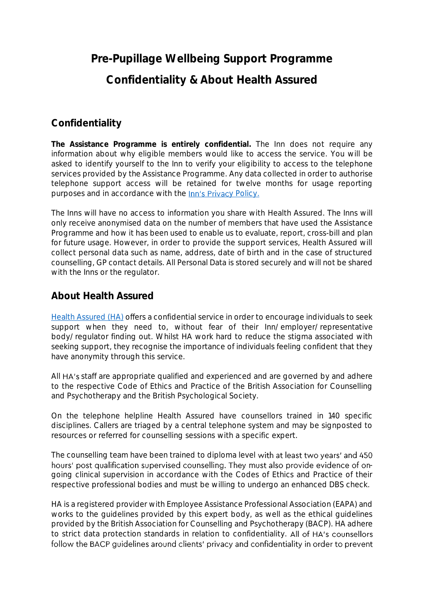## **Pre-Pupillage Wellbeing Support Programme Confidentiality & About Health Assured**

## **Confidentiality**

**The Assistance Programme is entirely confidential.** The Inn does not require any information about why eligible members would like to access the service. You will be asked to identify yourself to the Inn to verify your eligibility to access to the telephone services provided by the Assistance Programme. Any data collected in order to authorise telephone support access will be retained for twelve months for usage reporting purposes and in accordance with the Inn's Privacy Policy.

The Inns will have no access to information you share with Health Assured. The Inns will only receive anonymised data on the number of members that have used the Assistance Programme and how it has been used to enable us to evaluate, report, cross-bill and plan for future usage. However, in order to provide the support services, Health Assured will collect personal data such as name, address, date of birth and in the case of structured counselling, GP contact details. All Personal Data is stored securely and will not be shared with the Inns or the regulator.

## **About Health Assured**

[Health Assured](https://www.healthassured.org/) (HA) offers a confidential service in order to encourage individuals to seek support when they need to, without fear of their Inn/employer/representative body/regulator finding out. Whilst HA work hard to reduce the stigma associated with seeking support, they recognise the importance of individuals feeling confident that they have anonymity through this service.

All HA's staff are appropriate qualified and experienced and are governed by and adhere to the respective Code of Ethics and Practice of the British Association for Counselling and Psychotherapy and the British Psychological Society.

On the telephone helpline Health Assured have counsellors trained in 140 specific disciplines. Callers are triaged by a central telephone system and may be signposted to resources or referred for counselling sessions with a specific expert.

The counselling team have been trained to diploma level with at least two years' and 450 hours' post qualification supervised counselling. They must also provide evidence of ongoing clinical supervision in accordance with the Codes of Ethics and Practice of their respective professional bodies and must be willing to undergo an enhanced DBS check.

HA is a registered provider with Employee Assistance Professional Association (EAPA) and works to the guidelines provided by this expert body, as well as the ethical guidelines provided by the British Association for Counselling and Psychotherapy (BACP). HA adhere to strict data protection standards in relation to confidentiality. All of HA's counsellors follow the BACP guidelines around clients' privacy and confidentiality in order to prevent